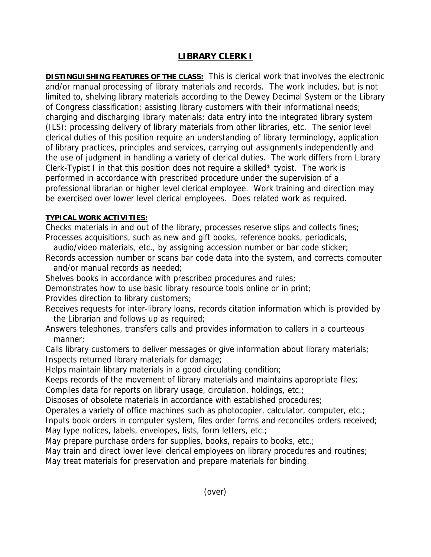## **LIBRARY CLERK I**

**DISTINGUISHING FEATURES OF THE CLASS:** This is clerical work that involves the electronic and/or manual processing of library materials and records. The work includes, but is not limited to, shelving library materials according to the Dewey Decimal System or the Library of Congress classification; assisting library customers with their informational needs; charging and discharging library materials; data entry into the integrated library system (ILS); processing delivery of library materials from other libraries, etc. The senior level clerical duties of this position require an understanding of library terminology, application of library practices, principles and services, carrying out assignments independently and the use of judgment in handling a variety of clerical duties. The work differs from Library Clerk-Typist I in that this position does not require a skilled\* typist. The work is performed in accordance with prescribed procedure under the supervision of a professional librarian or higher level clerical employee. Work training and direction may be exercised over lower level clerical employees. Does related work as required.

## **TYPICAL WORK ACTIVITIES:**

Checks materials in and out of the library, processes reserve slips and collects fines; Processes acquisitions, such as new and gift books, reference books, periodicals,

- audio/video materials, etc., by assigning accession number or bar code sticker;
- Records accession number or scans bar code data into the system, and corrects computer and/or manual records as needed;
- Shelves books in accordance with prescribed procedures and rules;
- Demonstrates how to use basic library resource tools online or in print;

Provides direction to library customers;

- Receives requests for inter-library loans, records citation information which is provided by the Librarian and follows up as required;
- Answers telephones, transfers calls and provides information to callers in a courteous manner;

Calls library customers to deliver messages or give information about library materials; Inspects returned library materials for damage;

Helps maintain library materials in a good circulating condition;

Keeps records of the movement of library materials and maintains appropriate files;

Compiles data for reports on library usage, circulation, holdings, etc.;

Disposes of obsolete materials in accordance with established procedures;

Operates a variety of office machines such as photocopier, calculator, computer, etc.; Inputs book orders in computer system, files order forms and reconciles orders received; May type notices, labels, envelopes, lists, form letters, etc.;

May prepare purchase orders for supplies, books, repairs to books, etc.;

May train and direct lower level clerical employees on library procedures and routines;

May treat materials for preservation and prepare materials for binding.